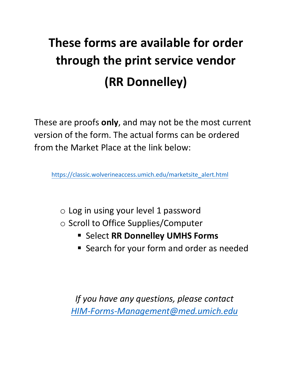## **These forms are available for order through the print service vendor (RR Donnelley)**

These are proofs **only**, and may not be the most current version of the form. The actual forms can be ordered from the Market Place at the link below:

[https://classic.wolverineaccess.umich.edu/marketsite\\_alert.html](https://classic.wolverineaccess.umich.edu/marketsite_alert.html) 

- $\circ$  Log in using your level 1 password
- o Scroll to Office Supplies/Computer
	- **E** Select RR Donnelley UMHS Forms
	- **Search for your form and order as needed**

*If you have any questions, please contact [HIM-Forms-Management@med.umich.edu](mailto:HIM-Forms-Management@med.umich.edu)*